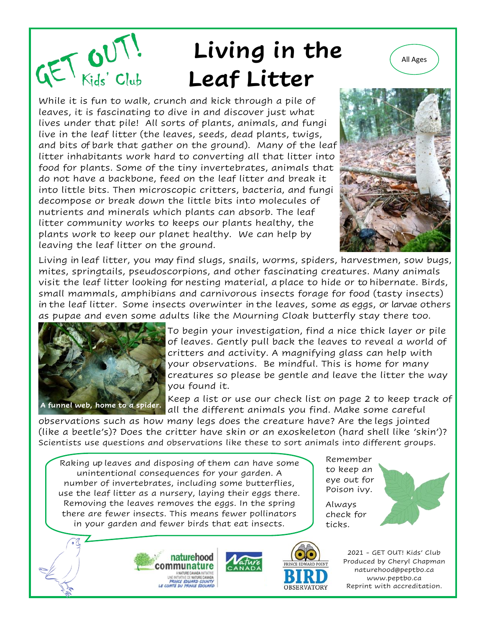

## Living in the **All Ages Leaf Litter**

While it is fun to walk, crunch and kick through a pile of leaves, it is fascinating to dive in and discover just what lives under that pile! All sorts of plants, animals, and fungi live in the leaf litter (the leaves, seeds, dead plants, twigs, and bits of bark that gather on the ground). Many of the leaf litter inhabitants work hard to converting all that litter into food for plants. Some of the tiny invertebrates, animals that do not have a backbone, feed on the leaf litter and break it into little bits. Then microscopic critters, bacteria, and fungi decompose or break down the little bits into molecules of nutrients and minerals which plants can absorb. The leaf litter community works to keeps our plants healthy, the plants work to keep our planet healthy. We can help by leaving the leaf litter on the ground.



Living in leaf litter, you may find slugs, snails, worms, spiders, harvestmen, sow bugs, mites, springtails, pseudoscorpions, and other fascinating creatures. Many animals visit the leaf litter looking for nesting material, a place to hide or to hibernate. Birds, small mammals, amphibians and carnivorous insects forage for food (tasty insects) in the leaf litter. Some insects overwinter in the leaves, some as eggs, or larvae others as pupae and even some adults like the Mourning Cloak butterfly stay there too.



To begin your investigation, find a nice thick layer or pile of leaves. Gently pull back the leaves to reveal a world of critters and activity. A magnifying glass can help with your observations. Be mindful. This is home for many creatures so please be gentle and leave the litter the way you found it.

Keep a list or use our check list on page 2 to keep track of all the different animals you find. Make some careful

observations such as how many legs does the creature have? Are the legs jointed (like a beetle's)? Does the critter have skin or an exoskeleton (hard shell like 'skin')? Scientists use questions and observations like these to sort animals into different groups.

Raking up leaves and disposing of them can have some unintentional consequences for your garden. A number of invertebrates, including some butterflies, use the leaf litter as a nursery, laying their eggs there. Removing the leaves removes the eggs. In the spring there are fewer insects. This means fewer pollinators in your garden and fewer birds that eat insects.

Remember to keep an eye out for Poison ivy.

Always check for ticks.







2021 - GET OUT! Kids' Club Produced by Cheryl Chapman naturehood@peptbo.ca www.peptbo.ca Reprint with accreditation.